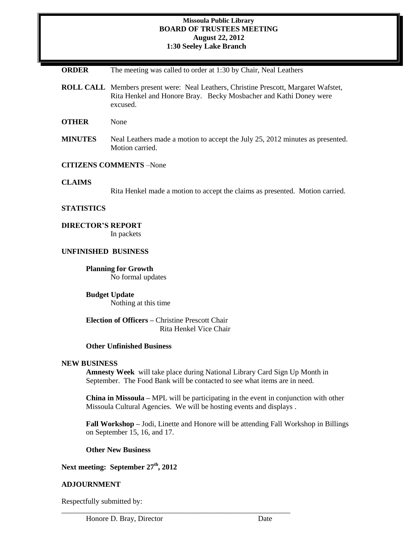### **Missoula Public Library BOARD OF TRUSTEES MEETING August 22, 2012 1:30 Seeley Lake Branch**

| <b>ORDER</b> |  |  |  | The meeting was called to order at 1:30 by Chair, Neal Leathers |
|--------------|--|--|--|-----------------------------------------------------------------|
|--------------|--|--|--|-----------------------------------------------------------------|

**ROLL CALL** Members present were: Neal Leathers, Christine Prescott, Margaret Wafstet, Rita Henkel and Honore Bray. Becky Mosbacher and Kathi Doney were excused.

**OTHER** None

**MINUTES** Neal Leathers made a motion to accept the July 25, 2012 minutes as presented. Motion carried.

## **CITIZENS COMMENTS** –None

### **CLAIMS**

Rita Henkel made a motion to accept the claims as presented. Motion carried.

## **STATISTICS**

## **DIRECTOR'S REPORT**

In packets

# **UNFINISHED BUSINESS**

**Planning for Growth**  No formal updates

**Budget Update** Nothing at this time

**Election of Officers –** Christine Prescott Chair Rita Henkel Vice Chair

## **Other Unfinished Business**

#### **NEW BUSINESS**

**Amnesty Week** will take place during National Library Card Sign Up Month in September. The Food Bank will be contacted to see what items are in need.

**China in Missoula –** MPL will be participating in the event in conjunction with other Missoula Cultural Agencies. We will be hosting events and displays .

**Fall Workshop –** Jodi, Linette and Honore will be attending Fall Workshop in Billings on September 15, 16, and 17.

## **Other New Business**

**Next meeting: September 27th, 2012**

### **ADJOURNMENT**

Respectfully submitted by:

\_\_\_\_\_\_\_\_\_\_\_\_\_\_\_\_\_\_\_\_\_\_\_\_\_\_\_\_\_\_\_\_\_\_\_\_\_\_\_\_\_\_\_\_\_\_\_\_\_\_\_\_\_\_\_\_\_\_\_\_\_